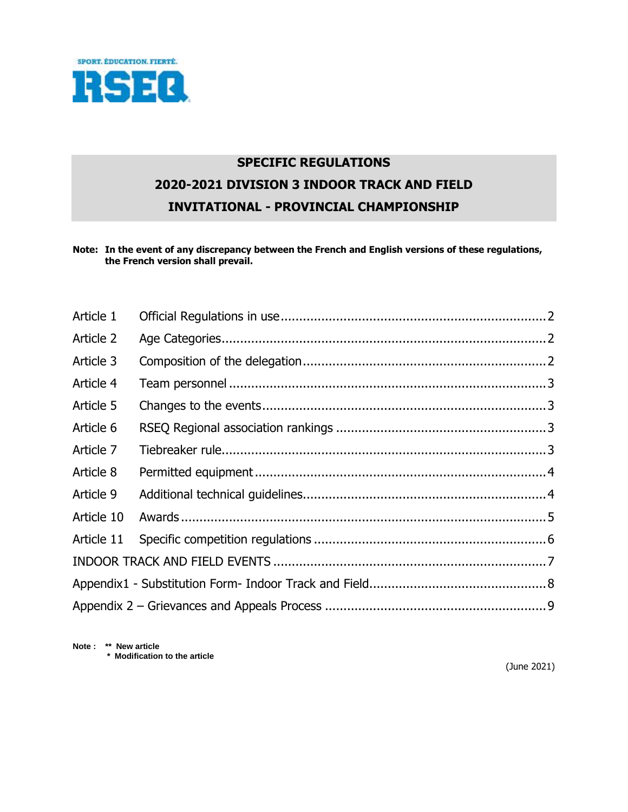

# **SPECIFIC REGULATIONS 2020-2021 DIVISION 3 INDOOR TRACK AND FIELD INVITATIONAL - PROVINCIAL CHAMPIONSHIP**

**Note: In the event of any discrepancy between the French and English versions of these regulations, the French version shall prevail.**

| Article 1  |  |  |  |  |
|------------|--|--|--|--|
| Article 2  |  |  |  |  |
| Article 3  |  |  |  |  |
| Article 4  |  |  |  |  |
| Article 5  |  |  |  |  |
| Article 6  |  |  |  |  |
| Article 7  |  |  |  |  |
| Article 8  |  |  |  |  |
| Article 9  |  |  |  |  |
| Article 10 |  |  |  |  |
| Article 11 |  |  |  |  |
|            |  |  |  |  |
|            |  |  |  |  |
|            |  |  |  |  |

**Note : \*\* New article \* Modification to the article** 

(June 2021)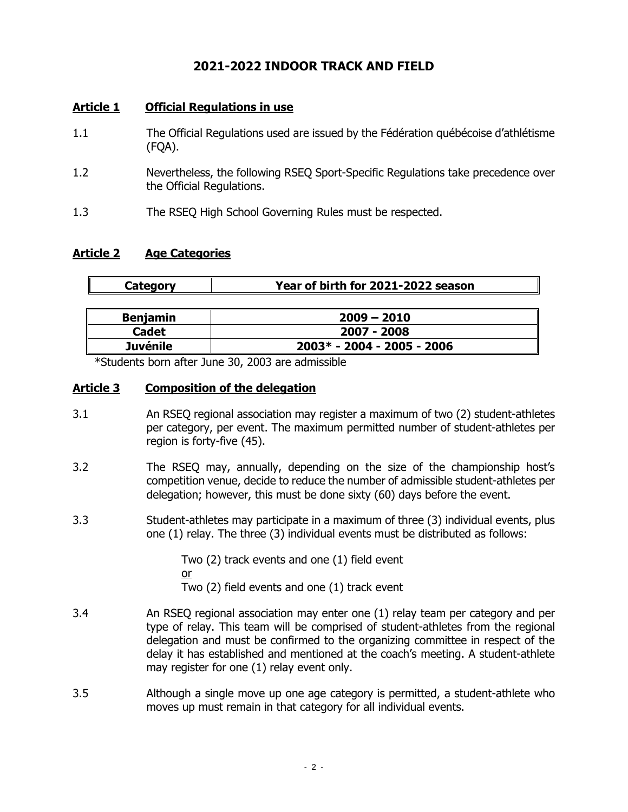# **2021-2022 INDOOR TRACK AND FIELD**

# <span id="page-1-0"></span>**Article 1 Official Regulations in use**

- 1.1 The Official Regulations used are issued by the Fédération québécoise d'athlétisme (FQA).
- 1.2 Nevertheless, the following RSEQ Sport-Specific Regulations take precedence over the Official Regulations.
- 1.3 The RSEQ High School Governing Rules must be respected.

## <span id="page-1-1"></span>**Article 2 Age Categories**

| Category | Year of birth for 2021-2022 season |
|----------|------------------------------------|
|          |                                    |

| <b>Benjamin</b> | $2009 - 2010$                |
|-----------------|------------------------------|
| <b>Cadet</b>    | 2007 - 2008                  |
| <b>Juvénile</b> | $2003* - 2004 - 2005 - 2006$ |

\*Students born after June 30, 2003 are admissible

## <span id="page-1-2"></span>**Article 3 Composition of the delegation**

- 3.1 An RSEQ regional association may register a maximum of two (2) student-athletes per category, per event. The maximum permitted number of student-athletes per region is forty-five (45).
- 3.2 The RSEQ may, annually, depending on the size of the championship host's competition venue, decide to reduce the number of admissible student-athletes per delegation; however, this must be done sixty (60) days before the event.
- 3.3 Student-athletes may participate in a maximum of three (3) individual events, plus one (1) relay. The three (3) individual events must be distributed as follows:

Two (2) track events and one (1) field event or Two (2) field events and one (1) track event

- 3.4 An RSEQ regional association may enter one (1) relay team per category and per type of relay. This team will be comprised of student-athletes from the regional delegation and must be confirmed to the organizing committee in respect of the delay it has established and mentioned at the coach's meeting. A student-athlete may register for one (1) relay event only.
- 3.5 Although a single move up one age category is permitted, a student-athlete who moves up must remain in that category for all individual events.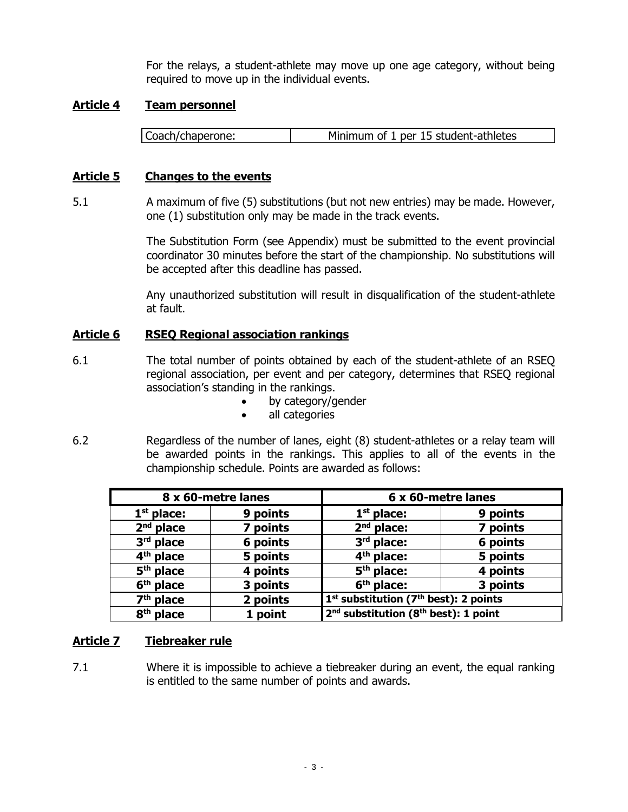For the relays, a student-athlete may move up one age category, without being required to move up in the individual events.

### <span id="page-2-0"></span>**Article 4 Team personnel**

Coach/chaperone: Minimum of 1 per 15 student-athletes

### <span id="page-2-1"></span>**Article 5 Changes to the events**

5.1 A maximum of five (5) substitutions (but not new entries) may be made. However, one (1) substitution only may be made in the track events.

> The Substitution Form (see Appendix) must be submitted to the event provincial coordinator 30 minutes before the start of the championship. No substitutions will be accepted after this deadline has passed.

> Any unauthorized substitution will result in disqualification of the student-athlete at fault.

## <span id="page-2-2"></span>**Article 6 RSEQ Regional association rankings**

- 6.1 The total number of points obtained by each of the student-athlete of an RSEQ regional association, per event and per category, determines that RSEQ regional association's standing in the rankings.
	- by category/gender
	- all categories
- 6.2 Regardless of the number of lanes, eight (8) student-athletes or a relay team will be awarded points in the rankings. This applies to all of the events in the championship schedule. Points are awarded as follows:

| 8 x 60-metre lanes    |          | 6 x 60-metre lanes                                            |          |
|-----------------------|----------|---------------------------------------------------------------|----------|
| $1st$ place:          | 9 points | $1st$ place:                                                  | 9 points |
| $2nd$ place           | 7 points | $2nd$ place:                                                  | 7 points |
| $3rd$ place           | 6 points | $3rd$ place:                                                  | 6 points |
| 4 <sup>th</sup> place | 5 points | 4 <sup>th</sup> place:                                        | 5 points |
| $5th$ place           | 4 points | $5th$ place:                                                  | 4 points |
| 6 <sup>th</sup> place | 3 points | 6 <sup>th</sup> place:                                        | 3 points |
| $7th$ place           | 2 points | 1 <sup>st</sup> substitution (7 <sup>th</sup> best): 2 points |          |
| 8 <sup>th</sup> place | 1 point  | $2^{nd}$ substitution (8 <sup>th</sup> best): 1 point         |          |

### <span id="page-2-3"></span>**Article 7 Tiebreaker rule**

7.1 Where it is impossible to achieve a tiebreaker during an event, the equal ranking is entitled to the same number of points and awards.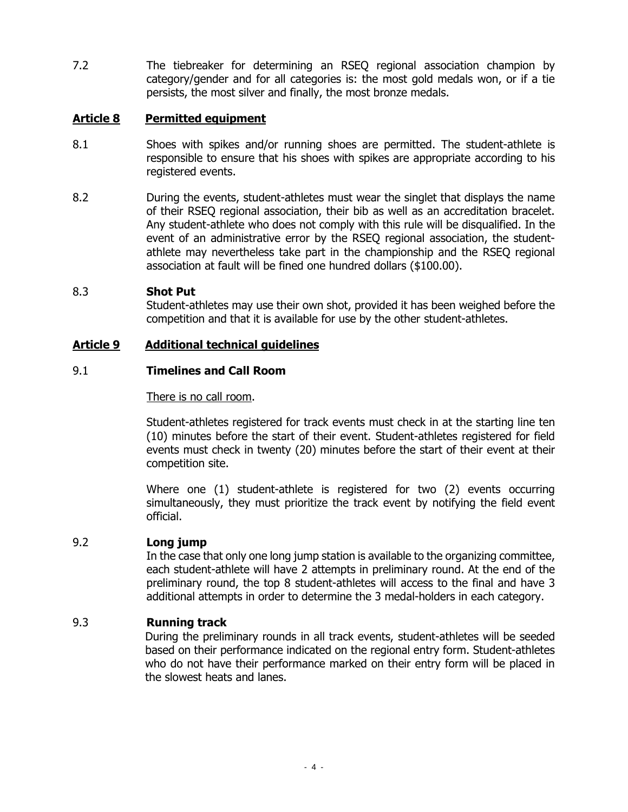7.2 The tiebreaker for determining an RSEQ regional association champion by category/gender and for all categories is: the most gold medals won, or if a tie persists, the most silver and finally, the most bronze medals.

# <span id="page-3-0"></span>**Article 8 Permitted equipment**

- 8.1 Shoes with spikes and/or running shoes are permitted. The student-athlete is responsible to ensure that his shoes with spikes are appropriate according to his registered events.
- 8.2 During the events, student-athletes must wear the singlet that displays the name of their RSEQ regional association, their bib as well as an accreditation bracelet. Any student-athlete who does not comply with this rule will be disqualified. In the event of an administrative error by the RSEQ regional association, the studentathlete may nevertheless take part in the championship and the RSEQ regional association at fault will be fined one hundred dollars (\$100.00).

# 8.3 **Shot Put**

Student-athletes may use their own shot, provided it has been weighed before the competition and that it is available for use by the other student-athletes.

## <span id="page-3-1"></span>**Article 9 Additional technical guidelines**

# 9.1 **Timelines and Call Room**

There is no call room.

Student-athletes registered for track events must check in at the starting line ten (10) minutes before the start of their event. Student-athletes registered for field events must check in twenty (20) minutes before the start of their event at their competition site.

Where one (1) student-athlete is registered for two (2) events occurring simultaneously, they must prioritize the track event by notifying the field event official.

### 9.2 **Long jump**

In the case that only one long jump station is available to the organizing committee, each student-athlete will have 2 attempts in preliminary round. At the end of the preliminary round, the top 8 student-athletes will access to the final and have 3 additional attempts in order to determine the 3 medal-holders in each category.

# 9.3 **Running track**

During the preliminary rounds in all track events, student-athletes will be seeded based on their performance indicated on the regional entry form. Student-athletes who do not have their performance marked on their entry form will be placed in the slowest heats and lanes.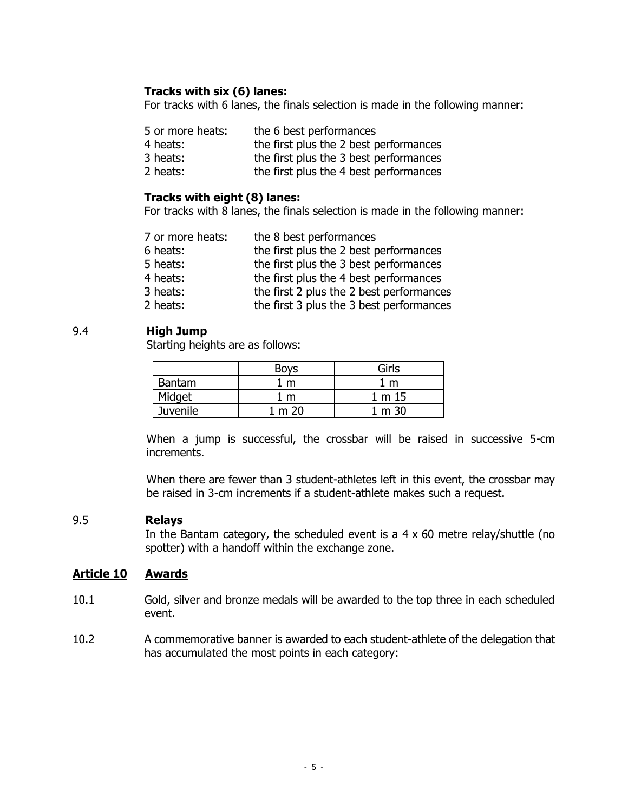# **Tracks with six (6) lanes:**

For tracks with 6 lanes, the finals selection is made in the following manner:

| 5 or more heats: | the 6 best performances                |
|------------------|----------------------------------------|
| 4 heats:         | the first plus the 2 best performances |
| 3 heats:         | the first plus the 3 best performances |
| 2 heats:         | the first plus the 4 best performances |

### **Tracks with eight (8) lanes:**

For tracks with 8 lanes, the finals selection is made in the following manner:

| 7 or more heats: | the 8 best performances                  |
|------------------|------------------------------------------|
| 6 heats:         | the first plus the 2 best performances   |
| 5 heats:         | the first plus the 3 best performances   |
| 4 heats:         | the first plus the 4 best performances   |
| 3 heats:         | the first 2 plus the 2 best performances |
| 2 heats:         | the first 3 plus the 3 best performances |
|                  |                                          |

### 9.4 **High Jump**

Starting heights are as follows:

|                 | <b>Boys</b> | Girls  |
|-----------------|-------------|--------|
| Bantam<br>m     |             | m      |
| Midget<br>m     |             | 1 m 15 |
| <b>Juvenile</b> | m 20        | m 30   |

When a jump is successful, the crossbar will be raised in successive 5-cm increments.

When there are fewer than 3 student-athletes left in this event, the crossbar may be raised in 3-cm increments if a student-athlete makes such a request.

### 9.5 **Relays**

In the Bantam category, the scheduled event is a  $4 \times 60$  metre relay/shuttle (no spotter) with a handoff within the exchange zone.

### <span id="page-4-0"></span>**Article 10 Awards**

- 10.1 Gold, silver and bronze medals will be awarded to the top three in each scheduled event.
- 10.2 A commemorative banner is awarded to each student-athlete of the delegation that has accumulated the most points in each category: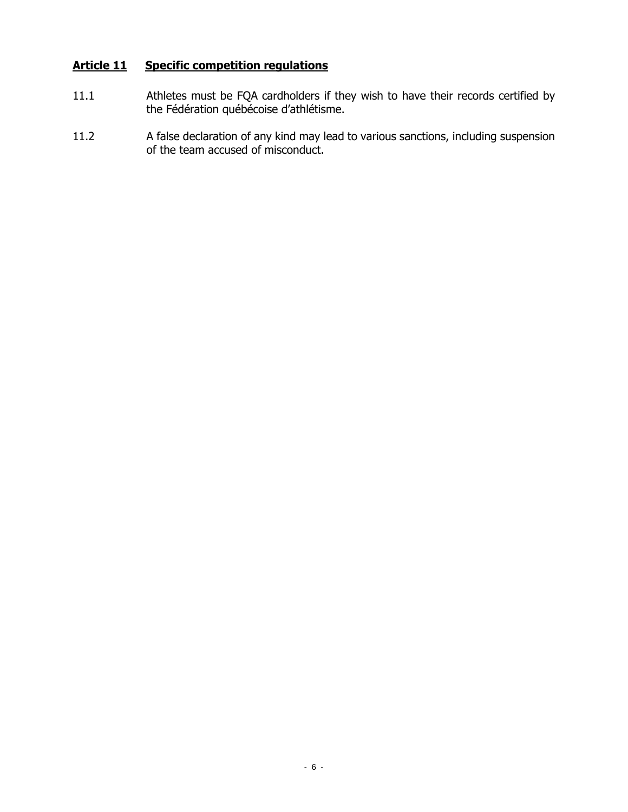# <span id="page-5-0"></span>**Article 11 Specific competition regulations**

- 11.1 Athletes must be FQA cardholders if they wish to have their records certified by the Fédération québécoise d'athlétisme.
- 11.2 A false declaration of any kind may lead to various sanctions, including suspension of the team accused of misconduct.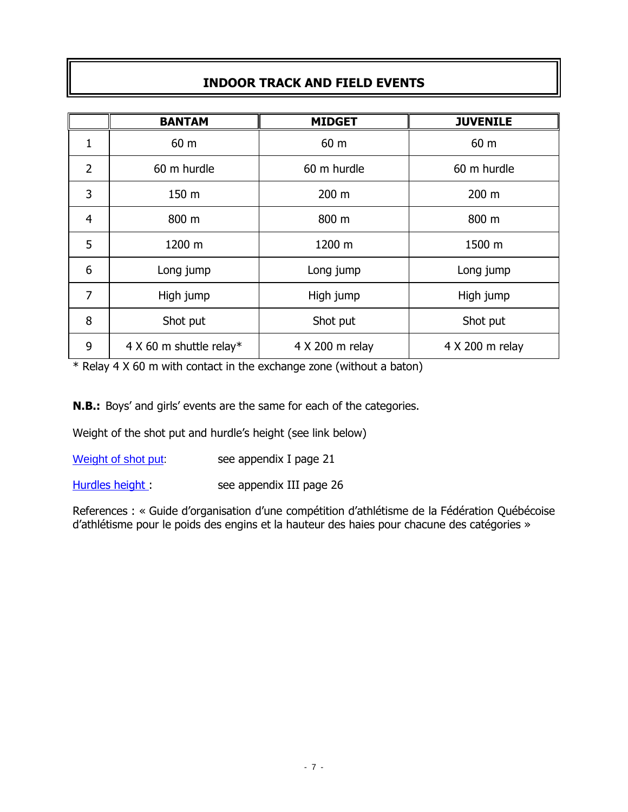# **INDOOR TRACK AND FIELD EVENTS**

<span id="page-6-0"></span>

|                | <b>BANTAM</b>           | <b>MIDGET</b>   | <b>JUVENILE</b> |
|----------------|-------------------------|-----------------|-----------------|
| 1              | 60 m                    | 60 m            | 60 m            |
| $\overline{2}$ | 60 m hurdle             | 60 m hurdle     | 60 m hurdle     |
| 3              | 150 m                   | 200 m           | 200 m           |
| $\overline{4}$ | 800 m                   | 800 m           | 800 m           |
| 5              | 1200 m                  | 1200 m          | 1500 m          |
| 6              | Long jump               | Long jump       | Long jump       |
| $\overline{7}$ | High jump               | High jump       | High jump       |
| 8              | Shot put                | Shot put        | Shot put        |
| 9              | 4 X 60 m shuttle relay* | 4 X 200 m relay | 4 X 200 m relay |

\* Relay 4 X 60 m with contact in the exchange zone (without a baton)

**N.B.:** Boys' and girls' events are the same for each of the categories.

Weight of the shot put and hurdle's height (see link below)

[Weight of shot put:](https://www.athletisme-quebec.ca/medias/guide-1-organisation-competition-dathletisme-juin2015.pdf) see appendix I page 21

[Hurdles height](https://www.athletisme-quebec.ca/medias/guide-1-organisation-competition-dathletisme-juin2015.pdf) : see appendix III page 26

References : « Guide d'organisation d'une compétition d'athlétisme de la Fédération Québécoise d'athlétisme pour le poids des engins et la hauteur des haies pour chacune des catégories »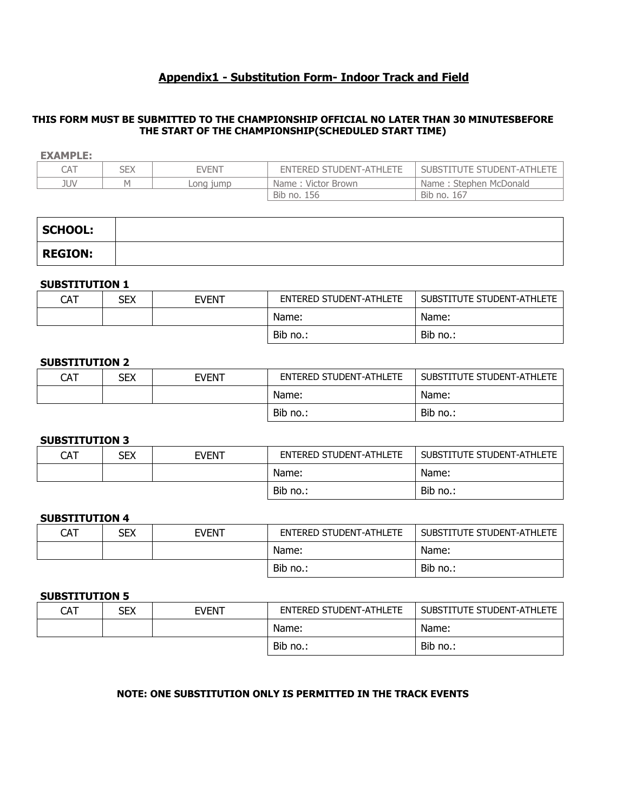# **Appendix1 - Substitution Form- Indoor Track and Field**

#### <span id="page-7-0"></span>**THIS FORM MUST BE SUBMITTED TO THE CHAMPIONSHIP OFFICIAL NO LATER THAN 30 MINUTESBEFORE THE START OF THE CHAMPIONSHIP(SCHEDULED START TIME)**

#### **EXAMPLE:**

| CAT | SEX | <b>FVFNT</b> | ENTERED STUDENT-ATHLETE | SUBSTITUTE STUDENT-ATHLETE |
|-----|-----|--------------|-------------------------|----------------------------|
| JUV | M   | ona 1ump_    | Name: Victor Brown      | Name: Stephen McDonald     |
|     |     |              | Bib no.<br>156          | Bib no. 167                |

| <b>SCHOOL:</b> |  |
|----------------|--|
| <b>REGION:</b> |  |

#### **SUBSTITUTION 1**

| CAT | SEX | <b>EVENT</b> | ENTERED STUDENT-ATHLETE | SUBSTITUTE STUDENT-ATHLETE |
|-----|-----|--------------|-------------------------|----------------------------|
|     |     |              | Name:                   | Name:                      |
|     |     |              | Bib no.:                | Bib no.:                   |

#### **SUBSTITUTION 2**

| CAT | SEX | EVENT | ENTERED STUDENT-ATHLETE | SUBSTITUTE STUDENT-ATHLETE |
|-----|-----|-------|-------------------------|----------------------------|
|     |     |       | Name:                   | Name:                      |
|     |     |       | Bib no.:                | Bib no.:                   |

#### **SUBSTITUTION 3**

| CAT | <b>SEX</b> | EVENT | ENTERED STUDENT-ATHLETE | SUBSTITUTE STUDENT-ATHLETE |
|-----|------------|-------|-------------------------|----------------------------|
|     |            |       | Name:                   | Name:                      |
|     |            |       | Bib no.:                | Bib no.:                   |

#### **SUBSTITUTION 4**

| CAT | sex | <b>EVENT</b> | ENTERED STUDENT-ATHLETE | SUBSTITUTE STUDENT-ATHLETE |
|-----|-----|--------------|-------------------------|----------------------------|
|     |     |              | Name:                   | Name:                      |
|     |     |              | Bib no.:                | Bib no.:                   |

#### **SUBSTITUTION 5**

| CAT | SEX | <b>EVENT</b> | <b>ENTERED STUDENT-ATHLETE</b> | SUBSTITUTE STUDENT-ATHLETE |
|-----|-----|--------------|--------------------------------|----------------------------|
|     |     |              | Name:                          | Name:                      |
|     |     |              | Bib no.:                       | Bib no.:                   |

#### **NOTE: ONE SUBSTITUTION ONLY IS PERMITTED IN THE TRACK EVENTS**